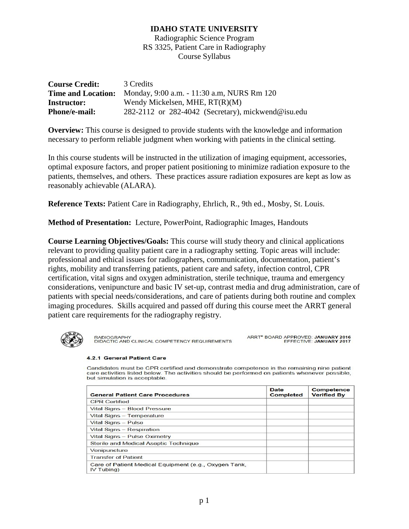Radiographic Science Program RS 3325, Patient Care in Radiography Course Syllabus

| <b>Course Credit:</b> | 3 Credits                                                            |
|-----------------------|----------------------------------------------------------------------|
|                       | <b>Time and Location:</b> Monday, 9:00 a.m. - 11:30 a.m, NURS Rm 120 |
| <b>Instructor:</b>    | Wendy Mickelsen, MHE, $RT(R)(M)$                                     |
| Phone/e-mail:         | 282-2112 or 282-4042 (Secretary), mickwend@isu.edu                   |

**Overview:** This course is designed to provide students with the knowledge and information necessary to perform reliable judgment when working with patients in the clinical setting.

In this course students will be instructed in the utilization of imaging equipment, accessories, optimal exposure factors, and proper patient positioning to minimize radiation exposure to the patients, themselves, and others. These practices assure radiation exposures are kept as low as reasonably achievable (ALARA).

**Reference Texts:** Patient Care in Radiography, Ehrlich, R., 9th ed., Mosby, St. Louis.

**Method of Presentation:** Lecture, PowerPoint, Radiographic Images, Handouts

**Course Learning Objectives/Goals:** This course will study theory and clinical applications relevant to providing quality patient care in a radiography setting. Topic areas will include: professional and ethical issues for radiographers, communication, documentation, patient's rights, mobility and transferring patients, patient care and safety, infection control, CPR certification, vital signs and oxygen administration, sterile technique, trauma and emergency considerations, venipuncture and basic IV set-up, contrast media and drug administration, care of patients with special needs/considerations, and care of patients during both routine and complex imaging procedures. Skills acquired and passed off during this course meet the ARRT general patient care requirements for the radiography registry.



RADIOGRAPHY<br>DIDACTIC AND CLINICAL COMPETENCY REQUIREMENTS

ARRT® BOARD APPROVED: JANUARY 2016<br>EFFECTIVE: JANUARY 2017

#### 4.2.1 General Patient Care

Candidates must be CPR certified and demonstrate competence in the remaining nine patient care activities listed below. The activities should be performed on patients whenever possible, but simulation is acceptable

| <b>General Patient Care Procedures</b>                              | <b>Date</b><br>Completed | Competence<br><b>Verified By</b> |  |
|---------------------------------------------------------------------|--------------------------|----------------------------------|--|
| <b>CPR Certified</b>                                                |                          |                                  |  |
| Vital Signs - Blood Pressure                                        |                          |                                  |  |
| Vital Signs - Temperature                                           |                          |                                  |  |
| <b>Vital Signs - Pulse</b>                                          |                          |                                  |  |
| <b>Vital Signs - Respiration</b>                                    |                          |                                  |  |
| <b>Vital Signs - Pulse Oximetry</b>                                 |                          |                                  |  |
| Sterile and Medical Aseptic Technique                               |                          |                                  |  |
| Venipuncture                                                        |                          |                                  |  |
| <b>Transfer of Patient</b>                                          |                          |                                  |  |
| Care of Patient Medical Equipment (e.g., Oxygen Tank,<br>IV Tubing) |                          |                                  |  |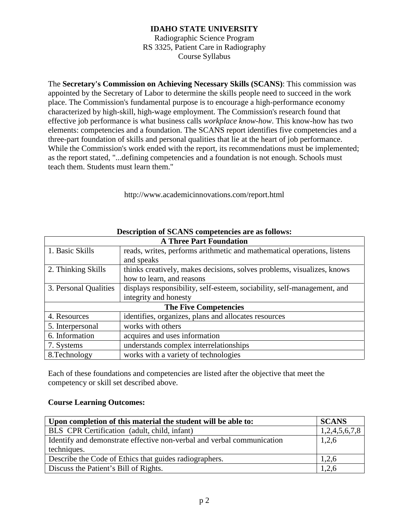Radiographic Science Program RS 3325, Patient Care in Radiography Course Syllabus

The **Secretary's Commission on Achieving Necessary Skills (SCANS)**: This commission was appointed by the Secretary of Labor to determine the skills people need to succeed in the work place. The Commission's fundamental purpose is to encourage a high-performance economy characterized by high-skill, high-wage employment. The Commission's research found that effective job performance is what business calls *workplace know-how*. This know-how has two elements: competencies and a foundation. The SCANS report identifies five competencies and a three-part foundation of skills and personal qualities that lie at the heart of job performance. While the Commission's work ended with the report, its recommendations must be implemented; as the report stated, "...defining competencies and a foundation is not enough. Schools must teach them. Students must learn them."

http://www.academicinnovations.com/report.html

| <b>A Three Part Foundation</b> |                                                                         |  |
|--------------------------------|-------------------------------------------------------------------------|--|
| 1. Basic Skills                | reads, writes, performs arithmetic and mathematical operations, listens |  |
|                                | and speaks                                                              |  |
| 2. Thinking Skills             | thinks creatively, makes decisions, solves problems, visualizes, knows  |  |
|                                | how to learn, and reasons                                               |  |
| 3. Personal Qualities          | displays responsibility, self-esteem, sociability, self-management, and |  |
|                                | integrity and honesty                                                   |  |
| <b>The Five Competencies</b>   |                                                                         |  |
| 4. Resources                   | identifies, organizes, plans and allocates resources                    |  |
| 5. Interpersonal               | works with others                                                       |  |
| 6. Information                 | acquires and uses information                                           |  |
| 7. Systems                     | understands complex interrelationships                                  |  |
| 8.Technology                   | works with a variety of technologies                                    |  |

#### **Description of SCANS competencies are as follows:**

Each of these foundations and competencies are listed after the objective that meet the competency or skill set described above.

#### **Course Learning Outcomes:**

| Upon completion of this material the student will be able to:          |               |  |
|------------------------------------------------------------------------|---------------|--|
| <b>BLS</b> CPR Certification (adult, child, infant)                    | 1,2,4,5,6,7,8 |  |
| Identify and demonstrate effective non-verbal and verbal communication | 1,2,6         |  |
| techniques.                                                            |               |  |
| Describe the Code of Ethics that guides radiographers.                 | 1,2,6         |  |
| Discuss the Patient's Bill of Rights.                                  | 1,2,6         |  |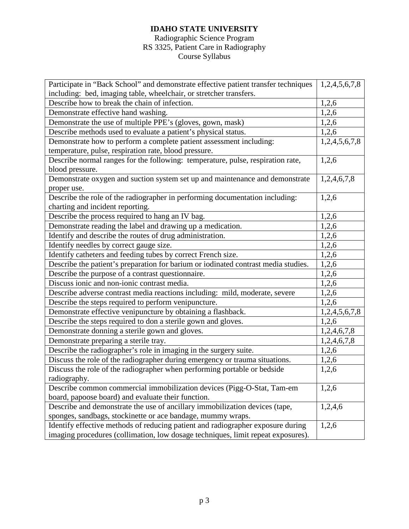#### Radiographic Science Program RS 3325, Patient Care in Radiography Course Syllabus

| Participate in "Back School" and demonstrate effective patient transfer techniques | 1,2,4,5,6,7,8 |
|------------------------------------------------------------------------------------|---------------|
| including: bed, imaging table, wheelchair, or stretcher transfers.                 |               |
| Describe how to break the chain of infection.                                      | 1,2,6         |
| Demonstrate effective hand washing.                                                | 1,2,6         |
| Demonstrate the use of multiple PPE's (gloves, gown, mask)                         | 1,2,6         |
| Describe methods used to evaluate a patient's physical status.                     | 1,2,6         |
| Demonstrate how to perform a complete patient assessment including:                | 1,2,4,5,6,7,8 |
| temperature, pulse, respiration rate, blood pressure.                              |               |
| Describe normal ranges for the following: temperature, pulse, respiration rate,    | 1,2,6         |
| blood pressure.                                                                    |               |
| Demonstrate oxygen and suction system set up and maintenance and demonstrate       | 1,2,4,6,7,8   |
| proper use.                                                                        |               |
| Describe the role of the radiographer in performing documentation including:       | 1,2,6         |
| charting and incident reporting.                                                   |               |
| Describe the process required to hang an IV bag.                                   | 1,2,6         |
| Demonstrate reading the label and drawing up a medication.                         | 1,2,6         |
| Identify and describe the routes of drug administration.                           | 1,2,6         |
| Identify needles by correct gauge size.                                            | 1,2,6         |
| Identify catheters and feeding tubes by correct French size.                       | 1,2,6         |
| Describe the patient's preparation for barium or iodinated contrast media studies. | 1,2,6         |
| Describe the purpose of a contrast questionnaire.                                  | 1,2,6         |
| Discuss ionic and non-ionic contrast media.                                        | 1,2,6         |
| Describe adverse contrast media reactions including: mild, moderate, severe        | 1,2,6         |
| Describe the steps required to perform venipuncture.                               | 1,2,6         |
| Demonstrate effective venipuncture by obtaining a flashback.                       | 1,2,4,5,6,7,8 |
| Describe the steps required to don a sterile gown and gloves.                      | 1,2,6         |
| Demonstrate donning a sterile gown and gloves.                                     | 1,2,4,6,7,8   |
| Demonstrate preparing a sterile tray.                                              | 1,2,4,6,7,8   |
| Describe the radiographer's role in imaging in the surgery suite.                  | 1,2,6         |
| Discuss the role of the radiographer during emergency or trauma situations.        | 1,2,6         |
| Discuss the role of the radiographer when performing portable or bedside           | 1,2,6         |
| radiography.                                                                       |               |
| Describe common commercial immobilization devices (Pigg-O-Stat, Tam-em             | 1,2,6         |
| board, papoose board) and evaluate their function.                                 |               |
| Describe and demonstrate the use of ancillary immobilization devices (tape,        | 1,2,4,6       |
| sponges, sandbags, stockinette or ace bandage, mummy wraps.                        |               |
| Identify effective methods of reducing patient and radiographer exposure during    | 1,2,6         |
| imaging procedures (collimation, low dosage techniques, limit repeat exposures).   |               |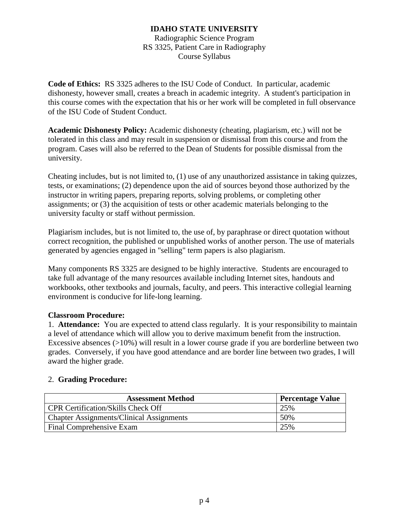Radiographic Science Program RS 3325, Patient Care in Radiography Course Syllabus

**Code of Ethics:** RS 3325 adheres to the ISU Code of Conduct. In particular, academic dishonesty, however small, creates a breach in academic integrity. A student's participation in this course comes with the expectation that his or her work will be completed in full observance of the ISU Code of Student Conduct.

**Academic Dishonesty Policy:** Academic dishonesty (cheating, plagiarism, etc.) will not be tolerated in this class and may result in suspension or dismissal from this course and from the program. Cases will also be referred to the Dean of Students for possible dismissal from the university.

Cheating includes, but is not limited to, (1) use of any unauthorized assistance in taking quizzes, tests, or examinations; (2) dependence upon the aid of sources beyond those authorized by the instructor in writing papers, preparing reports, solving problems, or completing other assignments; or (3) the acquisition of tests or other academic materials belonging to the university faculty or staff without permission.

Plagiarism includes, but is not limited to, the use of, by paraphrase or direct quotation without correct recognition, the published or unpublished works of another person. The use of materials generated by agencies engaged in "selling" term papers is also plagiarism.

Many components RS 3325 are designed to be highly interactive. Students are encouraged to take full advantage of the many resources available including Internet sites, handouts and workbooks, other textbooks and journals, faculty, and peers. This interactive collegial learning environment is conducive for life-long learning.

# **Classroom Procedure:**

1. **Attendance:** You are expected to attend class regularly. It is your responsibility to maintain a level of attendance which will allow you to derive maximum benefit from the instruction. Excessive absences  $(>10\%)$  will result in a lower course grade if you are borderline between two grades. Conversely, if you have good attendance and are border line between two grades, I will award the higher grade.

#### 2. **Grading Procedure:**

| <b>Assessment Method</b>                        | <b>Percentage Value</b> |
|-------------------------------------------------|-------------------------|
| <b>CPR Certification/Skills Check Off</b>       | 25%                     |
| <b>Chapter Assignments/Clinical Assignments</b> | 50%                     |
| Final Comprehensive Exam                        | 25%                     |